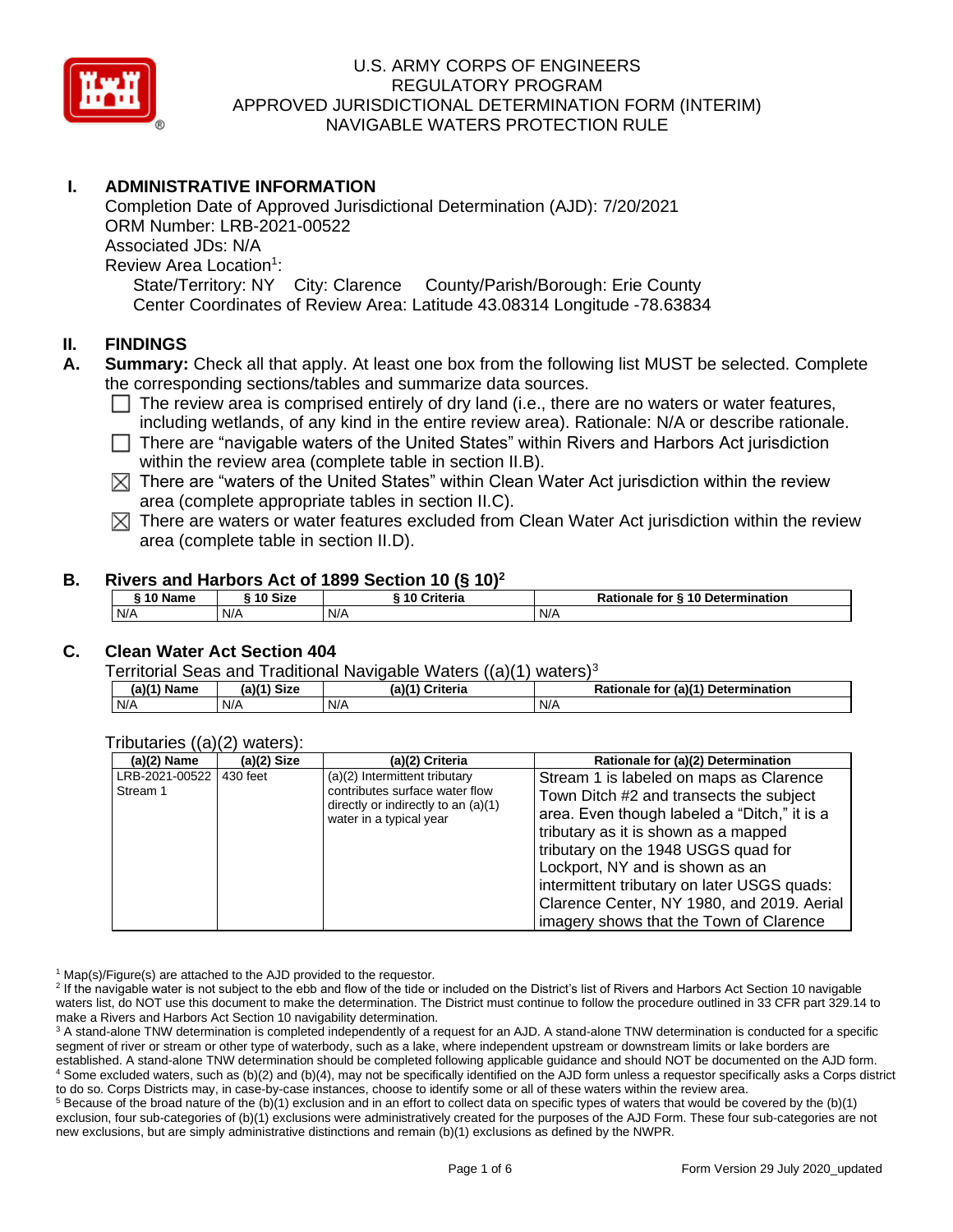

# **I. ADMINISTRATIVE INFORMATION**

Completion Date of Approved Jurisdictional Determination (AJD): 7/20/2021 ORM Number: LRB-2021-00522 Associated JDs: N/A Review Area Location<sup>1</sup>: State/Territory: NY City: Clarence County/Parish/Borough: Erie County Center Coordinates of Review Area: Latitude 43.08314 Longitude -78.63834

### **II. FINDINGS**

- **A. Summary:** Check all that apply. At least one box from the following list MUST be selected. Complete the corresponding sections/tables and summarize data sources.
	- $\Box$  The review area is comprised entirely of dry land (i.e., there are no waters or water features, including wetlands, of any kind in the entire review area). Rationale: N/A or describe rationale.
	- $\Box$  There are "navigable waters of the United States" within Rivers and Harbors Act jurisdiction within the review area (complete table in section II.B).
	- $\boxtimes$  There are "waters of the United States" within Clean Water Act jurisdiction within the review area (complete appropriate tables in section II.C).
	- $\boxtimes$  There are waters or water features excluded from Clean Water Act jurisdiction within the review area (complete table in section II.D).

#### **B. Rivers and Harbors Act of 1899 Section 10 (§ 10)<sup>2</sup>**

| ົ 10 Name | ົ <sup>1</sup> 0 Size | Criteria<br>, 10 | Rationale for § 10 Determination |  |  |
|-----------|-----------------------|------------------|----------------------------------|--|--|
| N/A       | N/A                   | N/A              | N/A                              |  |  |

# **C. Clean Water Act Section 404**

Territorial Seas and Traditional Navigable Waters ((a)(1) waters)<sup>3</sup>

| $(a)$ $(1)$<br><b>Name</b> | S <sub>1</sub> 20<br>-1611<br>ыzе<br>1a | <b>Criteria</b><br>$(a)$ <sup><math>(4)</math></sup> | (a)(1) Determination<br>Rationale<br>tor |
|----------------------------|-----------------------------------------|------------------------------------------------------|------------------------------------------|
| N/A                        | N/A                                     | N/A                                                  | N/A                                      |

#### Tributaries ((a)(2) waters):

| $(a)(2)$ Name                       | $(a)(2)$ Size | (a)(2) Criteria                                                                                                                     | Rationale for (a)(2) Determination                                                                                                                                                                                                                                                                                                                                                           |
|-------------------------------------|---------------|-------------------------------------------------------------------------------------------------------------------------------------|----------------------------------------------------------------------------------------------------------------------------------------------------------------------------------------------------------------------------------------------------------------------------------------------------------------------------------------------------------------------------------------------|
| LRB-2021-00522 430 feet<br>Stream 1 |               | (a)(2) Intermittent tributary<br>contributes surface water flow<br>directly or indirectly to an $(a)(1)$<br>water in a typical year | Stream 1 is labeled on maps as Clarence<br>Town Ditch #2 and transects the subject<br>area. Even though labeled a "Ditch," it is a<br>tributary as it is shown as a mapped<br>tributary on the 1948 USGS quad for<br>Lockport, NY and is shown as an<br>intermittent tributary on later USGS quads:<br>Clarence Center, NY 1980, and 2019. Aerial<br>imagery shows that the Town of Clarence |

 $1$  Map(s)/Figure(s) are attached to the AJD provided to the requestor.

<sup>2</sup> If the navigable water is not subject to the ebb and flow of the tide or included on the District's list of Rivers and Harbors Act Section 10 navigable waters list, do NOT use this document to make the determination. The District must continue to follow the procedure outlined in 33 CFR part 329.14 to make a Rivers and Harbors Act Section 10 navigability determination.

<sup>3</sup> A stand-alone TNW determination is completed independently of a request for an AJD. A stand-alone TNW determination is conducted for a specific segment of river or stream or other type of waterbody, such as a lake, where independent upstream or downstream limits or lake borders are established. A stand-alone TNW determination should be completed following applicable guidance and should NOT be documented on the AJD form. <sup>4</sup> Some excluded waters, such as (b)(2) and (b)(4), may not be specifically identified on the AJD form unless a requestor specifically asks a Corps district to do so. Corps Districts may, in case-by-case instances, choose to identify some or all of these waters within the review area.

 $5$  Because of the broad nature of the (b)(1) exclusion and in an effort to collect data on specific types of waters that would be covered by the (b)(1) exclusion, four sub-categories of (b)(1) exclusions were administratively created for the purposes of the AJD Form. These four sub-categories are not new exclusions, but are simply administrative distinctions and remain (b)(1) exclusions as defined by the NWPR.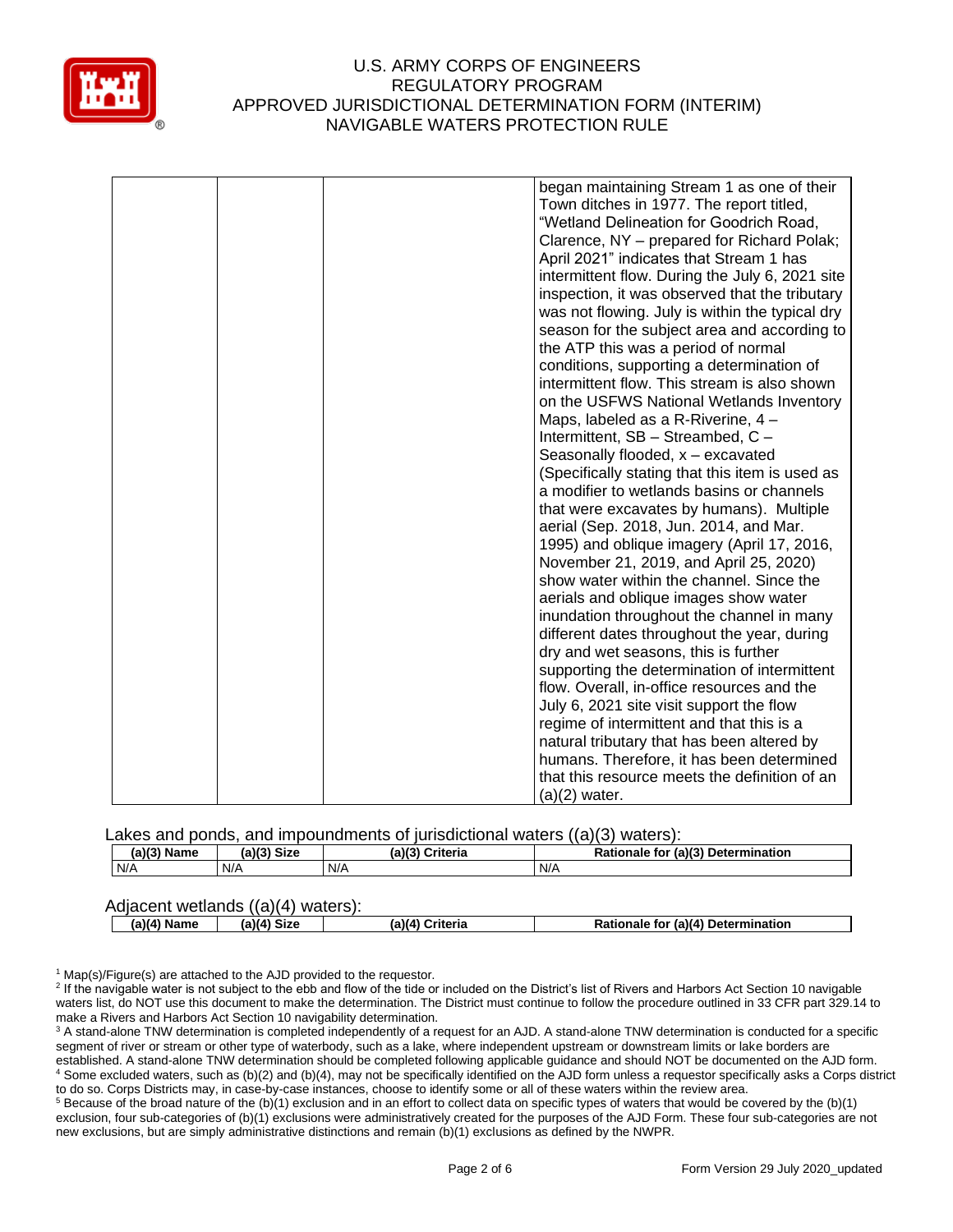

| began maintaining Stream 1 as one of their      |
|-------------------------------------------------|
| Town ditches in 1977. The report titled,        |
| "Wetland Delineation for Goodrich Road,         |
|                                                 |
| Clarence, NY - prepared for Richard Polak;      |
| April 2021" indicates that Stream 1 has         |
| intermittent flow. During the July 6, 2021 site |
| inspection, it was observed that the tributary  |
| was not flowing. July is within the typical dry |
| season for the subject area and according to    |
| the ATP this was a period of normal             |
| conditions, supporting a determination of       |
| intermittent flow. This stream is also shown    |
| on the USFWS National Wetlands Inventory        |
| Maps, labeled as a R-Riverine, 4 -              |
| Intermittent, SB - Streambed, C -               |
| Seasonally flooded, x - excavated               |
| (Specifically stating that this item is used as |
| a modifier to wetlands basins or channels       |
|                                                 |
| that were excavates by humans). Multiple        |
| aerial (Sep. 2018, Jun. 2014, and Mar.          |
| 1995) and oblique imagery (April 17, 2016,      |
| November 21, 2019, and April 25, 2020)          |
| show water within the channel. Since the        |
| aerials and oblique images show water           |
| inundation throughout the channel in many       |
| different dates throughout the year, during     |
| dry and wet seasons, this is further            |
| supporting the determination of intermittent    |
| flow. Overall, in-office resources and the      |
| July 6, 2021 site visit support the flow        |
| regime of intermittent and that this is a       |
| natural tributary that has been altered by      |
| humans. Therefore, it has been determined       |
| that this resource meets the definition of an   |
| $(a)(2)$ water.                                 |

Lakes and ponds, and impoundments of jurisdictional waters ((a)(3) waters):

| $(a)(3)$ Name | <b>Size</b><br>(2)(2)<br>ιαπ | (a)(3)(<br><b>Criteria</b> | (a)(3) Determination<br>Rationale<br>tor |
|---------------|------------------------------|----------------------------|------------------------------------------|
| N/A           | N/A                          | N/A                        | N/A                                      |

| Adjacent wetlands $((a)(4)$ waters): |               |               |                 |                                    |
|--------------------------------------|---------------|---------------|-----------------|------------------------------------|
|                                      | $(a)(4)$ Name | $(a)(4)$ Size | (a)(4) Criteria | Rationale for (a)(4) Determination |

<sup>1</sup> Map(s)/Figure(s) are attached to the AJD provided to the requestor.

<sup>2</sup> If the navigable water is not subject to the ebb and flow of the tide or included on the District's list of Rivers and Harbors Act Section 10 navigable waters list, do NOT use this document to make the determination. The District must continue to follow the procedure outlined in 33 CFR part 329.14 to make a Rivers and Harbors Act Section 10 navigability determination.

<sup>3</sup> A stand-alone TNW determination is completed independently of a request for an AJD. A stand-alone TNW determination is conducted for a specific segment of river or stream or other type of waterbody, such as a lake, where independent upstream or downstream limits or lake borders are established. A stand-alone TNW determination should be completed following applicable guidance and should NOT be documented on the AJD form. <sup>4</sup> Some excluded waters, such as (b)(2) and (b)(4), may not be specifically identified on the AJD form unless a requestor specifically asks a Corps district to do so. Corps Districts may, in case-by-case instances, choose to identify some or all of these waters within the review area.

<sup>5</sup> Because of the broad nature of the (b)(1) exclusion and in an effort to collect data on specific types of waters that would be covered by the (b)(1) exclusion, four sub-categories of (b)(1) exclusions were administratively created for the purposes of the AJD Form. These four sub-categories are not new exclusions, but are simply administrative distinctions and remain (b)(1) exclusions as defined by the NWPR.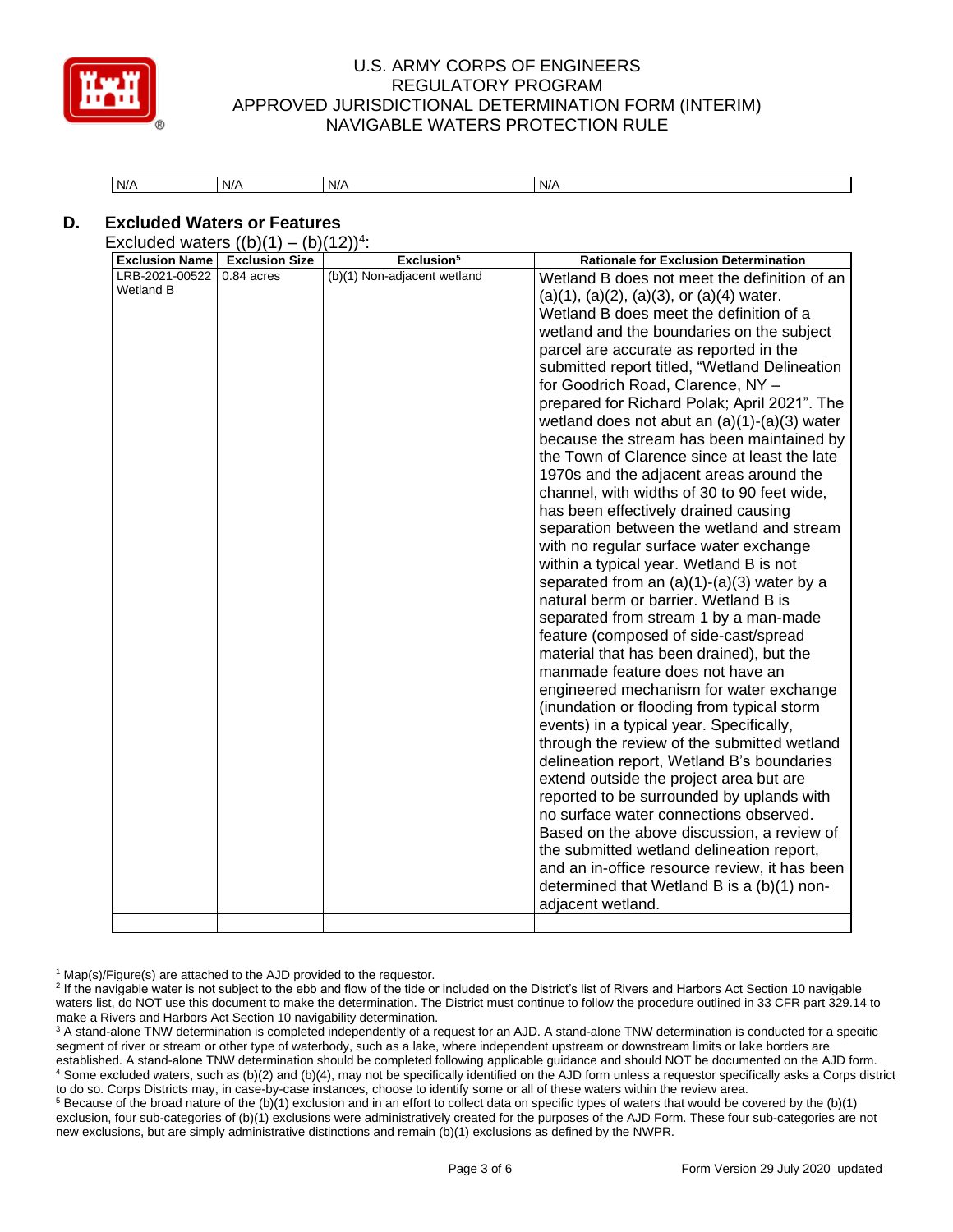

| N/A<br>N/A | N/A | N/A |
|------------|-----|-----|
|------------|-----|-----|

# **D. Excluded Waters or Features**

Excluded waters  $((b)(1) - (b)(12))^4$ :

| <b>Exclusion Name</b>       | <b>Exclusion Size</b> | Exclusion <sup>5</sup>      | <b>Rationale for Exclusion Determination</b>                                                                                                                                                                                                                                                                                                                                                                                                                                                                                                                                                                                                                                                                                                                                                                                                                                                                                                                                                                                                                                                                                                                                                                                                                                                                                                                                                                                                                                                                                                                                                                            |  |
|-----------------------------|-----------------------|-----------------------------|-------------------------------------------------------------------------------------------------------------------------------------------------------------------------------------------------------------------------------------------------------------------------------------------------------------------------------------------------------------------------------------------------------------------------------------------------------------------------------------------------------------------------------------------------------------------------------------------------------------------------------------------------------------------------------------------------------------------------------------------------------------------------------------------------------------------------------------------------------------------------------------------------------------------------------------------------------------------------------------------------------------------------------------------------------------------------------------------------------------------------------------------------------------------------------------------------------------------------------------------------------------------------------------------------------------------------------------------------------------------------------------------------------------------------------------------------------------------------------------------------------------------------------------------------------------------------------------------------------------------------|--|
| LRB-2021-00522<br>Wetland B | 0.84 acres            | (b)(1) Non-adjacent wetland | Wetland B does not meet the definition of an<br>$(a)(1)$ , $(a)(2)$ , $(a)(3)$ , or $(a)(4)$ water.<br>Wetland B does meet the definition of a<br>wetland and the boundaries on the subject<br>parcel are accurate as reported in the<br>submitted report titled, "Wetland Delineation<br>for Goodrich Road, Clarence, NY -<br>prepared for Richard Polak; April 2021". The<br>wetland does not abut an $(a)(1)-(a)(3)$ water<br>because the stream has been maintained by<br>the Town of Clarence since at least the late<br>1970s and the adjacent areas around the<br>channel, with widths of 30 to 90 feet wide,<br>has been effectively drained causing<br>separation between the wetland and stream<br>with no regular surface water exchange<br>within a typical year. Wetland B is not<br>separated from an $(a)(1)-(a)(3)$ water by a<br>natural berm or barrier. Wetland B is<br>separated from stream 1 by a man-made<br>feature (composed of side-cast/spread<br>material that has been drained), but the<br>manmade feature does not have an<br>engineered mechanism for water exchange<br>(inundation or flooding from typical storm<br>events) in a typical year. Specifically,<br>through the review of the submitted wetland<br>delineation report, Wetland B's boundaries<br>extend outside the project area but are<br>reported to be surrounded by uplands with<br>no surface water connections observed.<br>Based on the above discussion, a review of<br>the submitted wetland delineation report,<br>and an in-office resource review, it has been<br>determined that Wetland B is a (b)(1) non- |  |
|                             |                       |                             | adjacent wetland.                                                                                                                                                                                                                                                                                                                                                                                                                                                                                                                                                                                                                                                                                                                                                                                                                                                                                                                                                                                                                                                                                                                                                                                                                                                                                                                                                                                                                                                                                                                                                                                                       |  |
|                             |                       |                             |                                                                                                                                                                                                                                                                                                                                                                                                                                                                                                                                                                                                                                                                                                                                                                                                                                                                                                                                                                                                                                                                                                                                                                                                                                                                                                                                                                                                                                                                                                                                                                                                                         |  |

<sup>1</sup> Map(s)/Figure(s) are attached to the AJD provided to the requestor.

 $5$  Because of the broad nature of the (b)(1) exclusion and in an effort to collect data on specific types of waters that would be covered by the (b)(1) exclusion, four sub-categories of (b)(1) exclusions were administratively created for the purposes of the AJD Form. These four sub-categories are not new exclusions, but are simply administrative distinctions and remain (b)(1) exclusions as defined by the NWPR.

<sup>&</sup>lt;sup>2</sup> If the navigable water is not subject to the ebb and flow of the tide or included on the District's list of Rivers and Harbors Act Section 10 navigable waters list, do NOT use this document to make the determination. The District must continue to follow the procedure outlined in 33 CFR part 329.14 to make a Rivers and Harbors Act Section 10 navigability determination.

<sup>&</sup>lt;sup>3</sup> A stand-alone TNW determination is completed independently of a request for an AJD. A stand-alone TNW determination is conducted for a specific segment of river or stream or other type of waterbody, such as a lake, where independent upstream or downstream limits or lake borders are established. A stand-alone TNW determination should be completed following applicable guidance and should NOT be documented on the AJD form. <sup>4</sup> Some excluded waters, such as (b)(2) and (b)(4), may not be specifically identified on the AJD form unless a requestor specifically asks a Corps district to do so. Corps Districts may, in case-by-case instances, choose to identify some or all of these waters within the review area.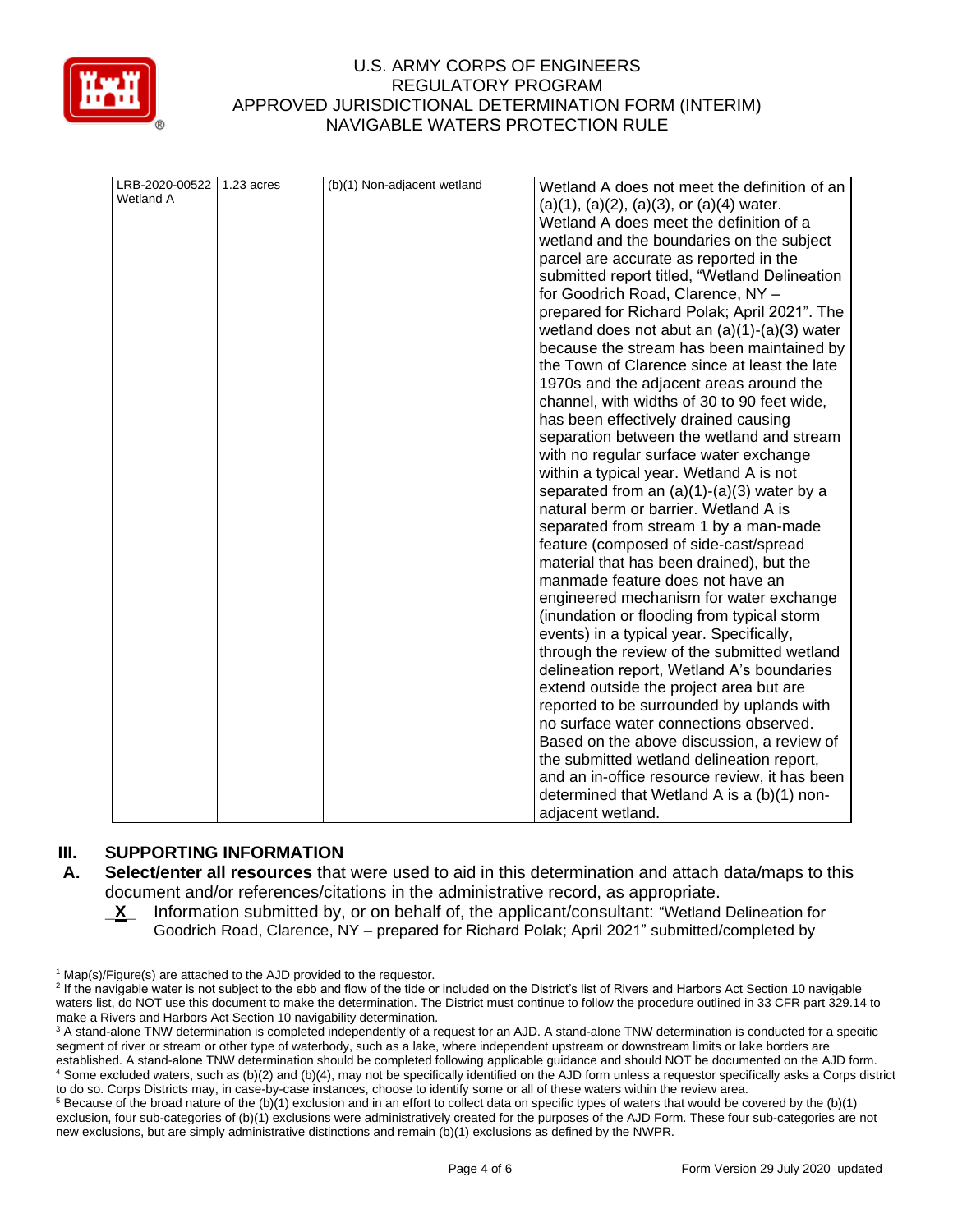

| LRB-2020-00522<br>Wetland A | 1.23 acres | (b)(1) Non-adjacent wetland | Wetland A does not meet the definition of an<br>$(a)(1)$ , $(a)(2)$ , $(a)(3)$ , or $(a)(4)$ water.<br>Wetland A does meet the definition of a<br>wetland and the boundaries on the subject<br>parcel are accurate as reported in the<br>submitted report titled, "Wetland Delineation<br>for Goodrich Road, Clarence, NY -<br>prepared for Richard Polak; April 2021". The<br>wetland does not abut an $(a)(1)-(a)(3)$ water<br>because the stream has been maintained by<br>the Town of Clarence since at least the late<br>1970s and the adjacent areas around the<br>channel, with widths of 30 to 90 feet wide,<br>has been effectively drained causing<br>separation between the wetland and stream<br>with no regular surface water exchange<br>within a typical year. Wetland A is not<br>separated from an $(a)(1)-(a)(3)$ water by a<br>natural berm or barrier. Wetland A is<br>separated from stream 1 by a man-made<br>feature (composed of side-cast/spread<br>material that has been drained), but the<br>manmade feature does not have an<br>engineered mechanism for water exchange<br>(inundation or flooding from typical storm<br>events) in a typical year. Specifically,<br>through the review of the submitted wetland<br>delineation report, Wetland A's boundaries<br>extend outside the project area but are<br>reported to be surrounded by uplands with<br>no surface water connections observed.<br>Based on the above discussion, a review of |
|-----------------------------|------------|-----------------------------|-----------------------------------------------------------------------------------------------------------------------------------------------------------------------------------------------------------------------------------------------------------------------------------------------------------------------------------------------------------------------------------------------------------------------------------------------------------------------------------------------------------------------------------------------------------------------------------------------------------------------------------------------------------------------------------------------------------------------------------------------------------------------------------------------------------------------------------------------------------------------------------------------------------------------------------------------------------------------------------------------------------------------------------------------------------------------------------------------------------------------------------------------------------------------------------------------------------------------------------------------------------------------------------------------------------------------------------------------------------------------------------------------------------------------------------------------------------------------------|
|                             |            |                             |                                                                                                                                                                                                                                                                                                                                                                                                                                                                                                                                                                                                                                                                                                                                                                                                                                                                                                                                                                                                                                                                                                                                                                                                                                                                                                                                                                                                                                                                             |
|                             |            |                             | the submitted wetland delineation report,<br>and an in-office resource review, it has been<br>determined that Wetland A is a (b)(1) non-                                                                                                                                                                                                                                                                                                                                                                                                                                                                                                                                                                                                                                                                                                                                                                                                                                                                                                                                                                                                                                                                                                                                                                                                                                                                                                                                    |
|                             |            |                             | adjacent wetland.                                                                                                                                                                                                                                                                                                                                                                                                                                                                                                                                                                                                                                                                                                                                                                                                                                                                                                                                                                                                                                                                                                                                                                                                                                                                                                                                                                                                                                                           |

# **III. SUPPORTING INFORMATION**

- **A. Select/enter all resources** that were used to aid in this determination and attach data/maps to this document and/or references/citations in the administrative record, as appropriate.
	- **\_X\_** Information submitted by, or on behalf of, the applicant/consultant: "Wetland Delineation for Goodrich Road, Clarence, NY – prepared for Richard Polak; April 2021" submitted/completed by

 $1$  Map(s)/Figure(s) are attached to the AJD provided to the requestor.

<sup>&</sup>lt;sup>2</sup> If the navigable water is not subject to the ebb and flow of the tide or included on the District's list of Rivers and Harbors Act Section 10 navigable waters list, do NOT use this document to make the determination. The District must continue to follow the procedure outlined in 33 CFR part 329.14 to make a Rivers and Harbors Act Section 10 navigability determination.

<sup>&</sup>lt;sup>3</sup> A stand-alone TNW determination is completed independently of a request for an AJD. A stand-alone TNW determination is conducted for a specific segment of river or stream or other type of waterbody, such as a lake, where independent upstream or downstream limits or lake borders are established. A stand-alone TNW determination should be completed following applicable guidance and should NOT be documented on the AJD form. 4 Some excluded waters, such as (b)(2) and (b)(4), may not be specifically identified on the AJD form unless a requestor specifically asks a Corps district to do so. Corps Districts may, in case-by-case instances, choose to identify some or all of these waters within the review area.

 $5$  Because of the broad nature of the (b)(1) exclusion and in an effort to collect data on specific types of waters that would be covered by the (b)(1) exclusion, four sub-categories of (b)(1) exclusions were administratively created for the purposes of the AJD Form. These four sub-categories are not new exclusions, but are simply administrative distinctions and remain (b)(1) exclusions as defined by the NWPR.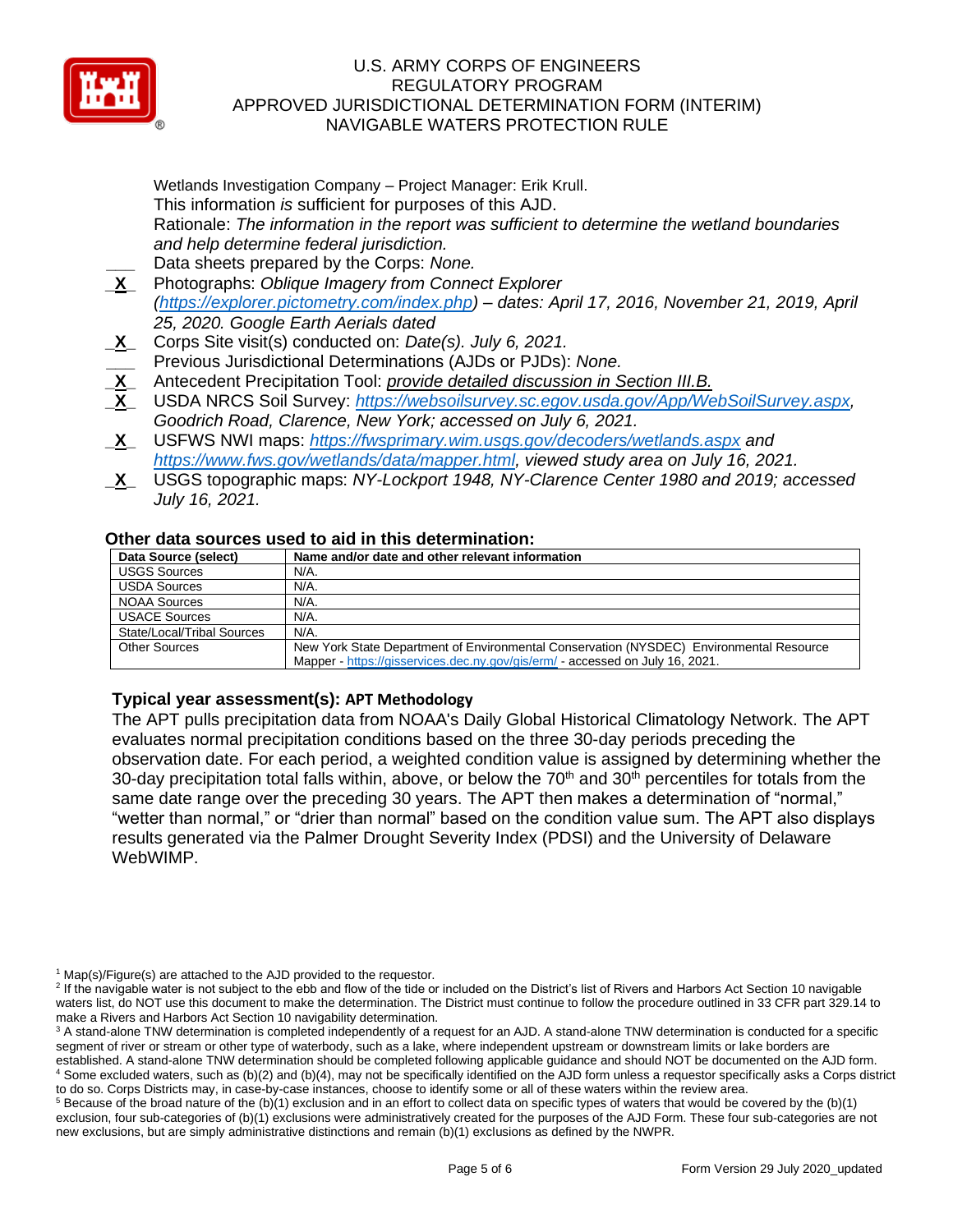

Wetlands Investigation Company – Project Manager: Erik Krull. This information *is* sufficient for purposes of this AJD. Rationale: *The information in the report was sufficient to determine the wetland boundaries and help determine federal jurisdiction.* **\_\_\_** Data sheets prepared by the Corps: *None.*

- **\_X\_** Photographs: *Oblique Imagery from Connect Explorer [\(https://explorer.pictometry.com/index.php\)](https://explorer.pictometry.com/index.php) – dates: April 17, 2016, November 21, 2019, April 25, 2020. Google Earth Aerials dated*
- **\_X\_** Corps Site visit(s) conducted on: *Date(s). July 6, 2021.* **\_\_\_** Previous Jurisdictional Determinations (AJDs or PJDs): *None.*
- **\_X\_** Antecedent Precipitation Tool: *provide detailed discussion in Section III.B.*
- **\_X\_** USDA NRCS Soil Survey: *[https://websoilsurvey.sc.egov.usda.gov/App/WebSoilSurvey.aspx,](https://websoilsurvey.sc.egov.usda.gov/App/WebSoilSurvey.aspx) Goodrich Road, Clarence, New York; accessed on July 6, 2021.*
- **\_X\_** USFWS NWI maps: *<https://fwsprimary.wim.usgs.gov/decoders/wetlands.aspx> and [https://www.fws.gov/wetlands/data/mapper.html,](https://www.fws.gov/wetlands/data/mapper.html) viewed study area on July 16, 2021.*
- **\_X\_** USGS topographic maps: *NY-Lockport 1948, NY-Clarence Center 1980 and 2019; accessed July 16, 2021.*

### **Other data sources used to aid in this determination:**

| Data Source (select)       | Name and/or date and other relevant information                                         |
|----------------------------|-----------------------------------------------------------------------------------------|
| <b>USGS Sources</b>        | N/A.                                                                                    |
| <b>USDA Sources</b>        | N/A.                                                                                    |
| <b>NOAA Sources</b>        | N/A.                                                                                    |
| <b>USACE Sources</b>       | N/A.                                                                                    |
| State/Local/Tribal Sources | N/A.                                                                                    |
| <b>Other Sources</b>       | New York State Department of Environmental Conservation (NYSDEC) Environmental Resource |
|                            | Mapper - https://gisservices.dec.ny.gov/gis/erm/ - accessed on July 16, 2021.           |

# **Typical year assessment(s): APT Methodology**

The APT pulls precipitation data from NOAA's Daily Global Historical Climatology Network. The APT evaluates normal precipitation conditions based on the three 30-day periods preceding the observation date. For each period, a weighted condition value is assigned by determining whether the 30-day precipitation total falls within, above, or below the  $70<sup>th</sup>$  and  $30<sup>th</sup>$  percentiles for totals from the same date range over the preceding 30 years. The APT then makes a determination of "normal," "wetter than normal," or "drier than normal" based on the condition value sum. The APT also displays results generated via the Palmer Drought Severity Index (PDSI) and the University of Delaware WebWIMP.

 $1$  Map(s)/Figure(s) are attached to the AJD provided to the requestor.

<sup>&</sup>lt;sup>2</sup> If the navigable water is not subject to the ebb and flow of the tide or included on the District's list of Rivers and Harbors Act Section 10 navigable waters list, do NOT use this document to make the determination. The District must continue to follow the procedure outlined in 33 CFR part 329.14 to make a Rivers and Harbors Act Section 10 navigability determination.

<sup>&</sup>lt;sup>3</sup> A stand-alone TNW determination is completed independently of a request for an AJD. A stand-alone TNW determination is conducted for a specific segment of river or stream or other type of waterbody, such as a lake, where independent upstream or downstream limits or lake borders are established. A stand-alone TNW determination should be completed following applicable guidance and should NOT be documented on the AJD form. <sup>4</sup> Some excluded waters, such as (b)(2) and (b)(4), may not be specifically identified on the AJD form unless a requestor specifically asks a Corps district

to do so. Corps Districts may, in case-by-case instances, choose to identify some or all of these waters within the review area.  $5$  Because of the broad nature of the (b)(1) exclusion and in an effort to collect data on specific types of waters that would be covered by the (b)(1)

exclusion, four sub-categories of (b)(1) exclusions were administratively created for the purposes of the AJD Form. These four sub-categories are not new exclusions, but are simply administrative distinctions and remain (b)(1) exclusions as defined by the NWPR.